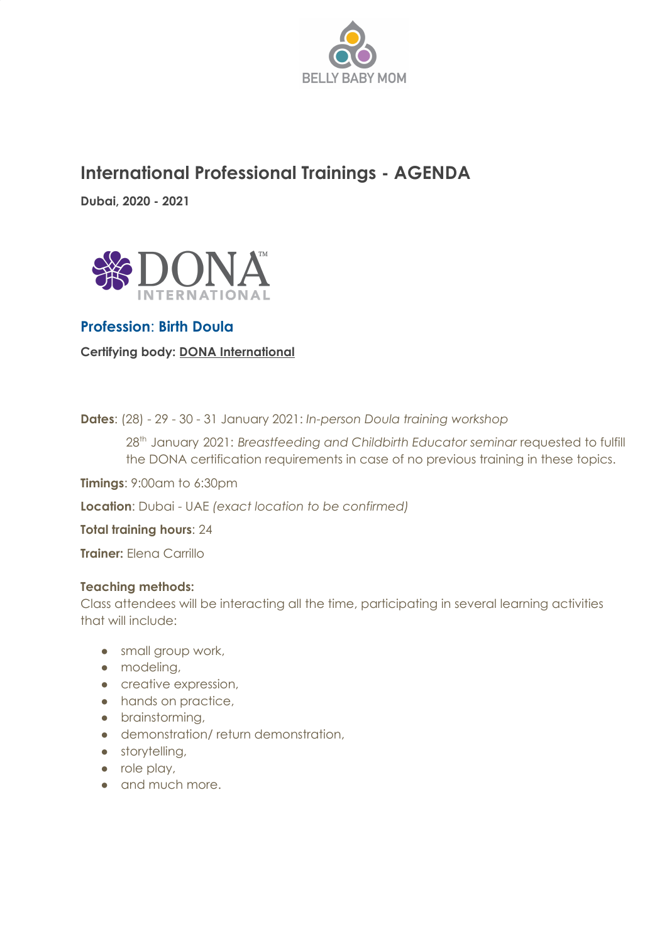

# **International Professional Trainings - AGENDA**

**Dubai, 2020 - 2021**



# **Profession**: **Birth Doula**

**Certifying body: DONA International**

**Dates**: (28) - 29 - 30 - 31 January 2021: *In-person Doula training workshop*

28 th January 2021: *Breastfeeding and Childbirth Educator seminar* requested to fulfill the DONA certification requirements in case of no previous training in these topics.

**Timings**: 9:00am to 6:30pm

**Location**: Dubai - UAE *(exact location to be confirmed)*

**Total training hours**: 24

**Trainer:** Elena Carrillo

#### **Teaching methods:**

Class attendees will be interacting all the time, participating in several learning activities that will include:

- small group work,
- modeling,
- creative expression,
- hands on practice,
- brainstorming,
- demonstration/ return demonstration,
- storytelling,
- role play,
- and much more.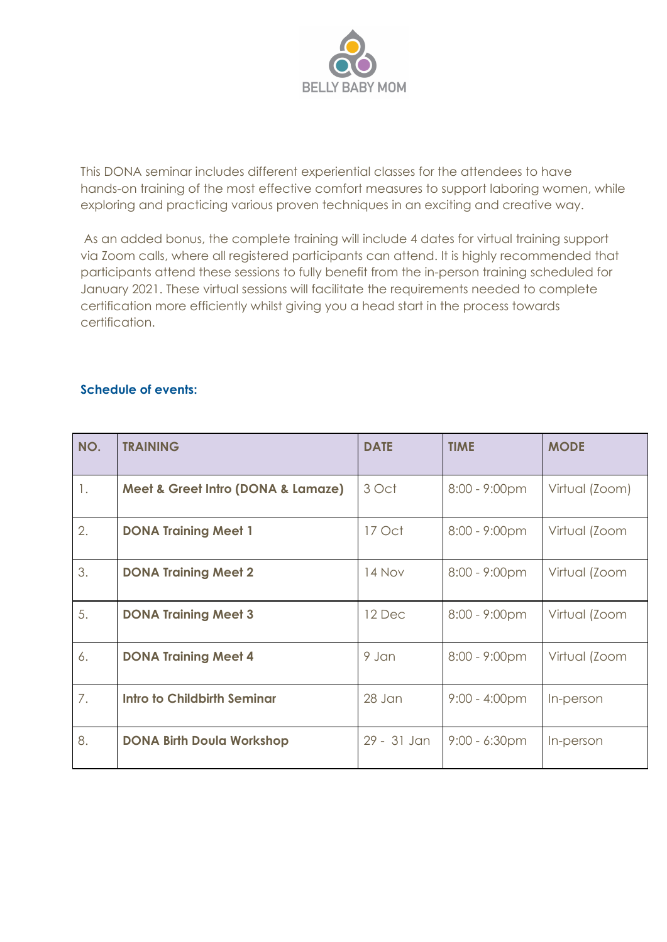

This DONA seminar includes different experiential classes for the attendees to have hands-on training of the most effective comfort measures to support laboring women, while exploring and practicing various proven techniques in an exciting and creative way.

As an added bonus, the complete training will include 4 dates for virtual training support via Zoom calls, where all registered participants can attend. It is highly recommended that participants attend these sessions to fully benefit from the in-person training scheduled for January 2021. These virtual sessions will facilitate the requirements needed to complete certification more efficiently whilst giving you a head start in the process towards certification.

#### **Schedule of events:**

| NO. | <b>TRAINING</b>                    | <b>DATE</b> | <b>TIME</b>             | <b>MODE</b>    |
|-----|------------------------------------|-------------|-------------------------|----------------|
| 1.  | Meet & Greet Intro (DONA & Lamaze) | 3 Oct       | $8:00 - 9:00 \text{pm}$ | Virtual (Zoom) |
| 2.  | <b>DONA Training Meet 1</b>        | 17 Oct      | $8:00 - 9:00 \text{pm}$ | Virtual (Zoom  |
| 3.  | <b>DONA Training Meet 2</b>        | 14 Nov      | $8:00 - 9:00 \text{pm}$ | Virtual (Zoom  |
| 5.  | <b>DONA Training Meet 3</b>        | 12 Dec      | 8:00 - 9:00pm           | Virtual (Zoom  |
| 6.  | <b>DONA Training Meet 4</b>        | 9 Jan       | $8:00 - 9:00 \text{pm}$ | Virtual (Zoom  |
| 7.  | <b>Intro to Childbirth Seminar</b> | 28 Jan      | $9:00 - 4:00 \text{pm}$ | In-person      |
| 8.  | <b>DONA Birth Doula Workshop</b>   | 29 - 31 Jan | $9:00 - 6:30$ pm        | In-person      |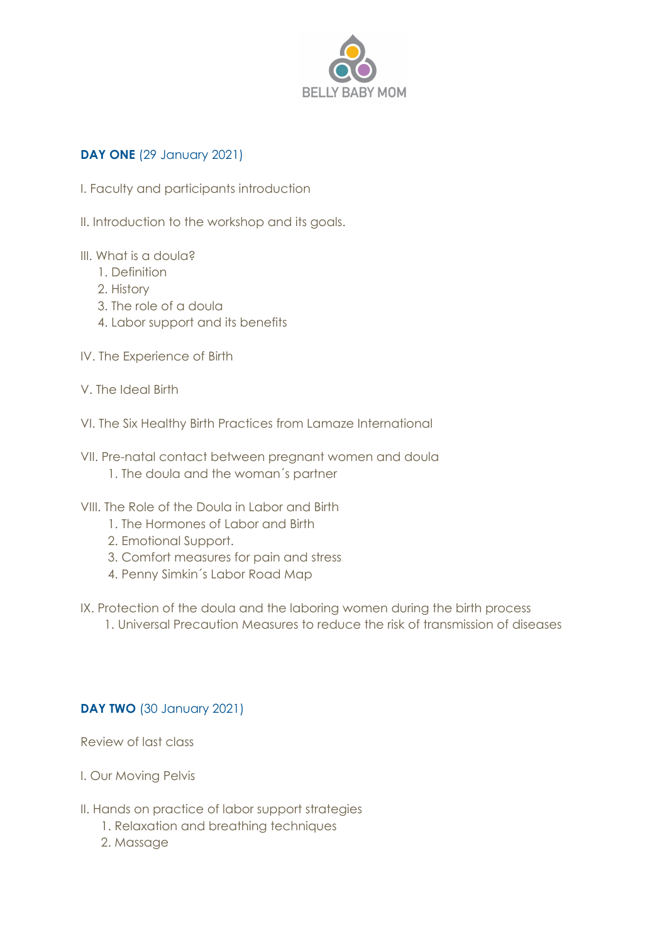

## **DAY ONE** (29 January 2021)

- I. Faculty and participants introduction
- II. Introduction to the workshop and its goals.
- III. What is a doula?
	- 1. Definition
	- 2. History
	- 3. The role of a doula
	- 4. Labor support and its benefits
- IV. The Experience of Birth
- V. The Ideal Birth
- VI. The Six Healthy Birth Practices from Lamaze International
- VII. Pre-natal contact between pregnant women and doula 1. The doula and the woman´s partner
- VIII. The Role of the Doula in Labor and Birth
	- 1. The Hormones of Labor and Birth
	- 2. Emotional Support.
	- 3. Comfort measures for pain and stress
	- 4. Penny Simkin´s Labor Road Map
- IX. Protection of the doula and the laboring women during the birth process
	- 1. Universal Precaution Measures to reduce the risk of transmission of diseases

#### **DAY TWO** (30 January 2021)

Review of last class

- I. Our Moving Pelvis
- II. Hands on practice of labor support strategies
	- 1. Relaxation and breathing techniques
	- 2. Massage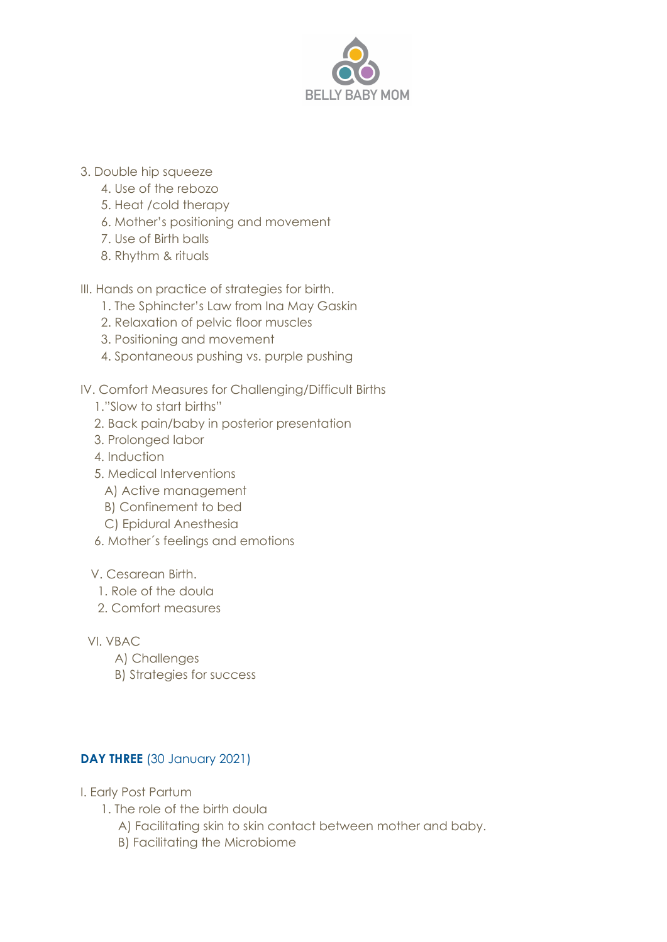

- 3. Double hip squeeze
	- 4. Use of the rebozo
	- 5. Heat /cold therapy
	- 6. Mother's positioning and movement
	- 7. Use of Birth balls
	- 8. Rhythm & rituals

III. Hands on practice of strategies for birth.

- 1. The Sphincter's Law from Ina May Gaskin
- 2. Relaxation of pelvic floor muscles
- 3. Positioning and movement
- 4. Spontaneous pushing vs. purple pushing
- IV. Comfort Measures for Challenging/Difficult Births
	- 1."Slow to start births"
	- 2. Back pain/baby in posterior presentation
	- 3. Prolonged labor
	- 4. Induction
	- 5. Medical Interventions
		- A) Active management
		- B) Confinement to bed
		- C) Epidural Anesthesia
	- 6. Mother´s feelings and emotions

## V. Cesarean Birth.

- 1. Role of the doula
- 2. Comfort measures

VI. VBAC

- A) Challenges
- B) Strategies for success

## **DAY THREE** (30 January 2021)

- I. Early Post Partum
	- 1. The role of the birth doula
		- A) Facilitating skin to skin contact between mother and baby.
		- B) Facilitating the Microbiome